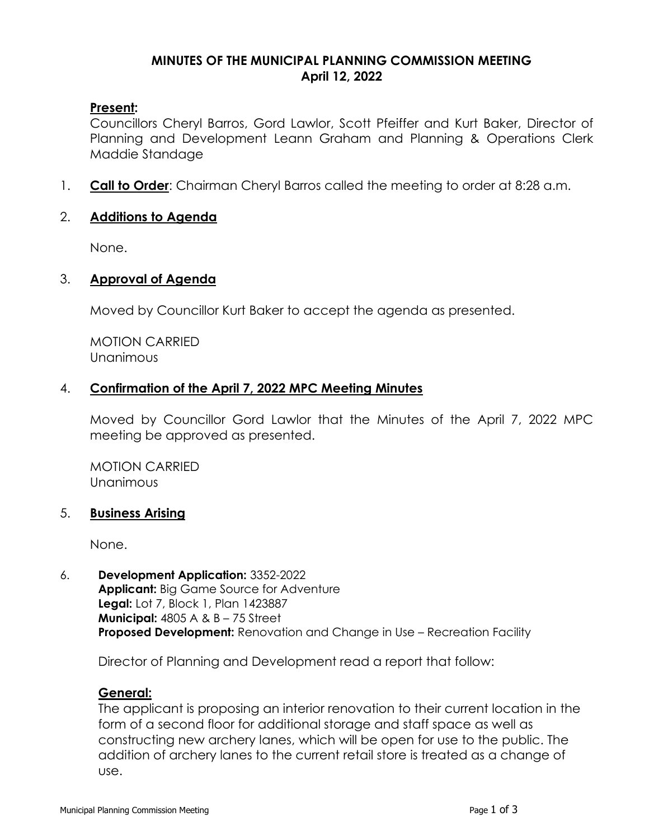### **MINUTES OF THE MUNICIPAL PLANNING COMMISSION MEETING April 12, 2022**

### **Present:**

Councillors Cheryl Barros, Gord Lawlor, Scott Pfeiffer and Kurt Baker, Director of Planning and Development Leann Graham and Planning & Operations Clerk Maddie Standage

1. **Call to Order**: Chairman Cheryl Barros called the meeting to order at 8:28 a.m.

### 2. **Additions to Agenda**

None.

### 3. **Approval of Agenda**

Moved by Councillor Kurt Baker to accept the agenda as presented.

MOTION CARRIED Unanimous

### 4. **Confirmation of the April 7, 2022 MPC Meeting Minutes**

Moved by Councillor Gord Lawlor that the Minutes of the April 7, 2022 MPC meeting be approved as presented.

MOTION CARRIED Unanimous

#### 5. **Business Arising**

None.

6. **Development Application:** 3352-2022 **Applicant:** Big Game Source for Adventure **Legal:** Lot 7, Block 1, Plan 1423887 **Municipal:** 4805 A & B – 75 Street **Proposed Development:** Renovation and Change in Use – Recreation Facility

Director of Planning and Development read a report that follow:

# **General:**

The applicant is proposing an interior renovation to their current location in the form of a second floor for additional storage and staff space as well as constructing new archery lanes, which will be open for use to the public. The addition of archery lanes to the current retail store is treated as a change of use.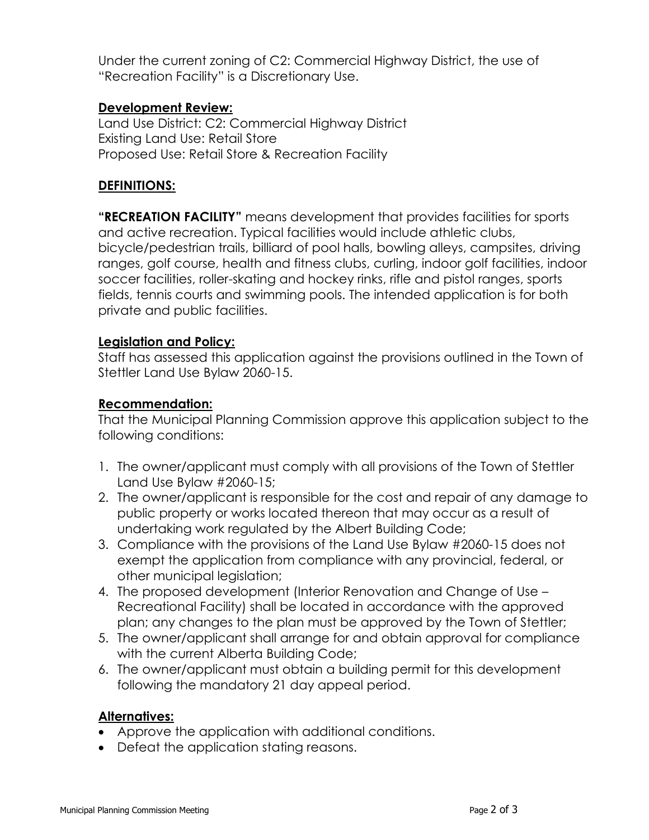Under the current zoning of C2: Commercial Highway District, the use of "Recreation Facility" is a Discretionary Use.

# **Development Review:**

Land Use District: C2: Commercial Highway District Existing Land Use: Retail Store Proposed Use: Retail Store & Recreation Facility

# **DEFINITIONS:**

**"RECREATION FACILITY"** means development that provides facilities for sports and active recreation. Typical facilities would include athletic clubs, bicycle/pedestrian trails, billiard of pool halls, bowling alleys, campsites, driving ranges, golf course, health and fitness clubs, curling, indoor golf facilities, indoor soccer facilities, roller-skating and hockey rinks, rifle and pistol ranges, sports fields, tennis courts and swimming pools. The intended application is for both private and public facilities.

# **Legislation and Policy:**

Staff has assessed this application against the provisions outlined in the Town of Stettler Land Use Bylaw 2060-15.

# **Recommendation:**

That the Municipal Planning Commission approve this application subject to the following conditions:

- 1. The owner/applicant must comply with all provisions of the Town of Stettler Land Use Bylaw #2060-15;
- 2. The owner/applicant is responsible for the cost and repair of any damage to public property or works located thereon that may occur as a result of undertaking work regulated by the Albert Building Code;
- 3. Compliance with the provisions of the Land Use Bylaw #2060-15 does not exempt the application from compliance with any provincial, federal, or other municipal legislation;
- 4. The proposed development (Interior Renovation and Change of Use Recreational Facility) shall be located in accordance with the approved plan; any changes to the plan must be approved by the Town of Stettler;
- 5. The owner/applicant shall arrange for and obtain approval for compliance with the current Alberta Building Code;
- 6. The owner/applicant must obtain a building permit for this development following the mandatory 21 day appeal period.

# **Alternatives:**

- Approve the application with additional conditions.
- Defeat the application stating reasons.